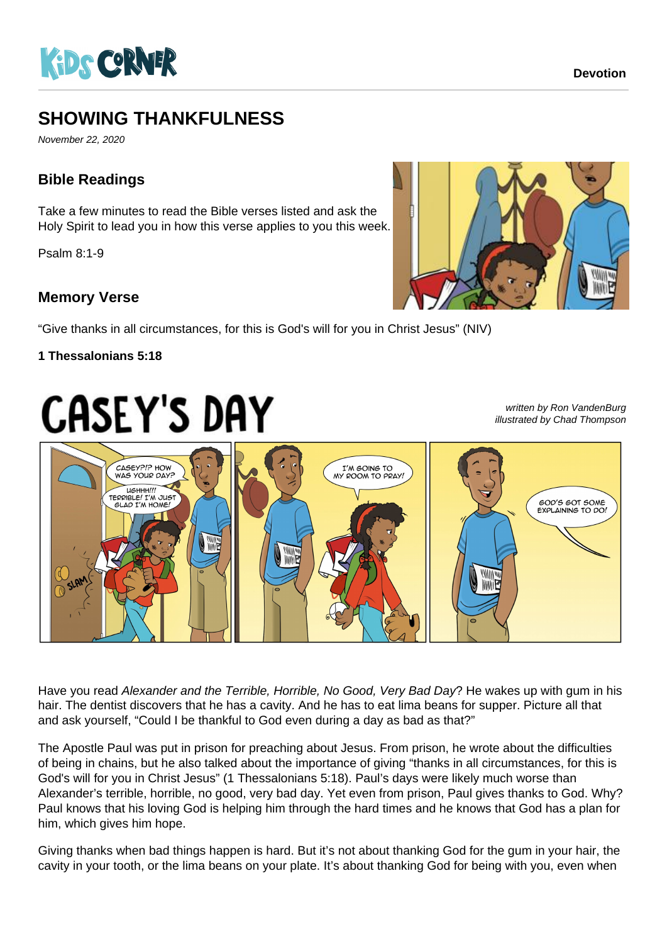

# **SHOWING THANKFULNESS**

November 22, 2020

## **Bible Readings**

Take a few minutes to read the Bible verses listed and ask the Holy Spirit to lead you in how this verse applies to you this week.

Psalm 8:1-9

### **Memory Verse**

"Give thanks in all circumstances, for this is God's will for you in Christ Jesus" (NIV)

#### **1 Thessalonians 5:18**

# **CASEY'S DAY**

written by Ron VandenBurg illustrated by Chad Thompson



Have you read Alexander and the Terrible, Horrible, No Good, Very Bad Day? He wakes up with gum in his hair. The dentist discovers that he has a cavity. And he has to eat lima beans for supper. Picture all that and ask yourself, "Could I be thankful to God even during a day as bad as that?"

The Apostle Paul was put in prison for preaching about Jesus. From prison, he wrote about the difficulties of being in chains, but he also talked about the importance of giving "thanks in all circumstances, for this is God's will for you in Christ Jesus" (1 Thessalonians 5:18). Paul's days were likely much worse than Alexander's terrible, horrible, no good, very bad day. Yet even from prison, Paul gives thanks to God. Why? Paul knows that his loving God is helping him through the hard times and he knows that God has a plan for him, which gives him hope.

Giving thanks when bad things happen is hard. But it's not about thanking God for the gum in your hair, the cavity in your tooth, or the lima beans on your plate. It's about thanking God for being with you, even when